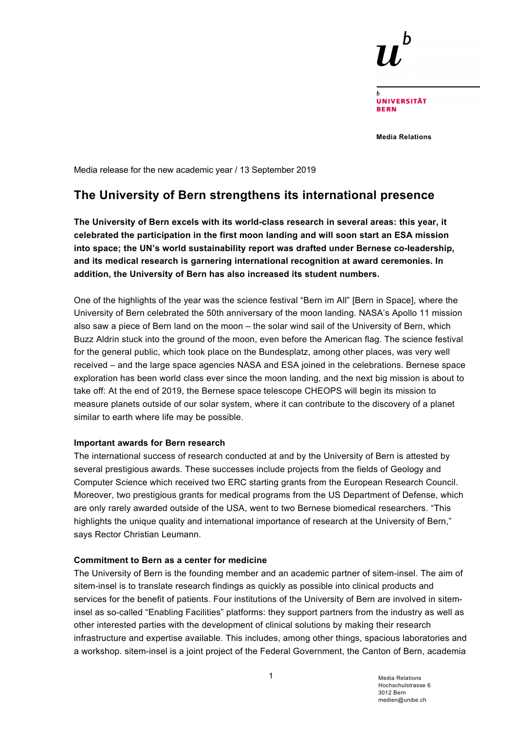

**UNIVERSITÄT RERN** 

**Media Relations**

Media release for the new academic year / 13 September 2019

# **The University of Bern strengthens its international presence**

**The University of Bern excels with its world-class research in several areas: this year, it celebrated the participation in the first moon landing and will soon start an ESA mission into space; the UN's world sustainability report was drafted under Bernese co-leadership, and its medical research is garnering international recognition at award ceremonies. In addition, the University of Bern has also increased its student numbers.** 

One of the highlights of the year was the science festival "Bern im All" [Bern in Space], where the University of Bern celebrated the 50th anniversary of the moon landing. NASA's Apollo 11 mission also saw a piece of Bern land on the moon – the solar wind sail of the University of Bern, which Buzz Aldrin stuck into the ground of the moon, even before the American flag. The science festival for the general public, which took place on the Bundesplatz, among other places, was very well received – and the large space agencies NASA and ESA joined in the celebrations. Bernese space exploration has been world class ever since the moon landing, and the next big mission is about to take off: At the end of 2019, the Bernese space telescope CHEOPS will begin its mission to measure planets outside of our solar system, where it can contribute to the discovery of a planet similar to earth where life may be possible.

## **Important awards for Bern research**

The international success of research conducted at and by the University of Bern is attested by several prestigious awards. These successes include projects from the fields of Geology and Computer Science which received two ERC starting grants from the European Research Council. Moreover, two prestigious grants for medical programs from the US Department of Defense, which are only rarely awarded outside of the USA, went to two Bernese biomedical researchers. "This highlights the unique quality and international importance of research at the University of Bern," says Rector Christian Leumann.

## **Commitment to Bern as a center for medicine**

The University of Bern is the founding member and an academic partner of sitem-insel. The aim of sitem-insel is to translate research findings as quickly as possible into clinical products and services for the benefit of patients. Four institutions of the University of Bern are involved in siteminsel as so-called "Enabling Facilities" platforms: they support partners from the industry as well as other interested parties with the development of clinical solutions by making their research infrastructure and expertise available. This includes, among other things, spacious laboratories and a workshop. sitem-insel is a joint project of the Federal Government, the Canton of Bern, academia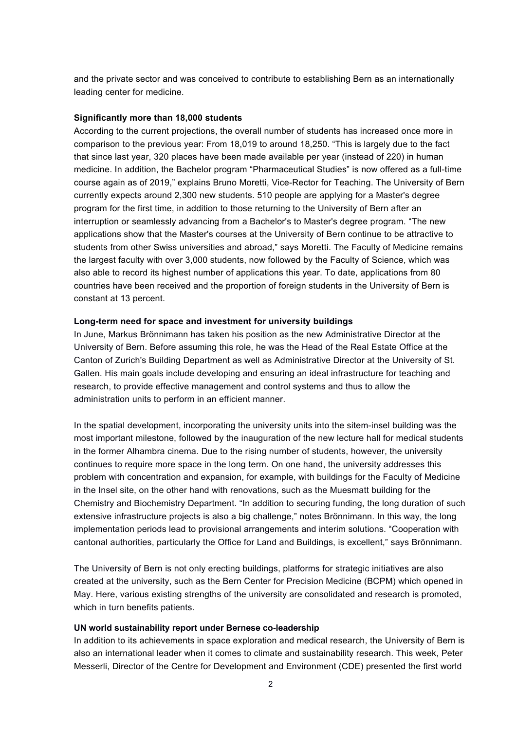and the private sector and was conceived to contribute to establishing Bern as an internationally leading center for medicine.

### **Significantly more than 18,000 students**

According to the current projections, the overall number of students has increased once more in comparison to the previous year: From 18,019 to around 18,250. "This is largely due to the fact that since last year, 320 places have been made available per year (instead of 220) in human medicine. In addition, the Bachelor program "Pharmaceutical Studies" is now offered as a full-time course again as of 2019," explains Bruno Moretti, Vice-Rector for Teaching. The University of Bern currently expects around 2,300 new students. 510 people are applying for a Master's degree program for the first time, in addition to those returning to the University of Bern after an interruption or seamlessly advancing from a Bachelor's to Master's degree program. "The new applications show that the Master's courses at the University of Bern continue to be attractive to students from other Swiss universities and abroad," says Moretti. The Faculty of Medicine remains the largest faculty with over 3,000 students, now followed by the Faculty of Science, which was also able to record its highest number of applications this year. To date, applications from 80 countries have been received and the proportion of foreign students in the University of Bern is constant at 13 percent.

#### **Long-term need for space and investment for university buildings**

In June, Markus Brönnimann has taken his position as the new Administrative Director at the University of Bern. Before assuming this role, he was the Head of the Real Estate Office at the Canton of Zurich's Building Department as well as Administrative Director at the University of St. Gallen. His main goals include developing and ensuring an ideal infrastructure for teaching and research, to provide effective management and control systems and thus to allow the administration units to perform in an efficient manner.

In the spatial development, incorporating the university units into the sitem-insel building was the most important milestone, followed by the inauguration of the new lecture hall for medical students in the former Alhambra cinema. Due to the rising number of students, however, the university continues to require more space in the long term. On one hand, the university addresses this problem with concentration and expansion, for example, with buildings for the Faculty of Medicine in the Insel site, on the other hand with renovations, such as the Muesmatt building for the Chemistry and Biochemistry Department. "In addition to securing funding, the long duration of such extensive infrastructure projects is also a big challenge," notes Brönnimann. In this way, the long implementation periods lead to provisional arrangements and interim solutions. "Cooperation with cantonal authorities, particularly the Office for Land and Buildings, is excellent," says Brönnimann.

The University of Bern is not only erecting buildings, platforms for strategic initiatives are also created at the university, such as the Bern Center for Precision Medicine (BCPM) which opened in May. Here, various existing strengths of the university are consolidated and research is promoted, which in turn benefits patients.

#### **UN world sustainability report under Bernese co-leadership**

In addition to its achievements in space exploration and medical research, the University of Bern is also an international leader when it comes to climate and sustainability research. This week, Peter Messerli, Director of the Centre for Development and Environment (CDE) presented the first world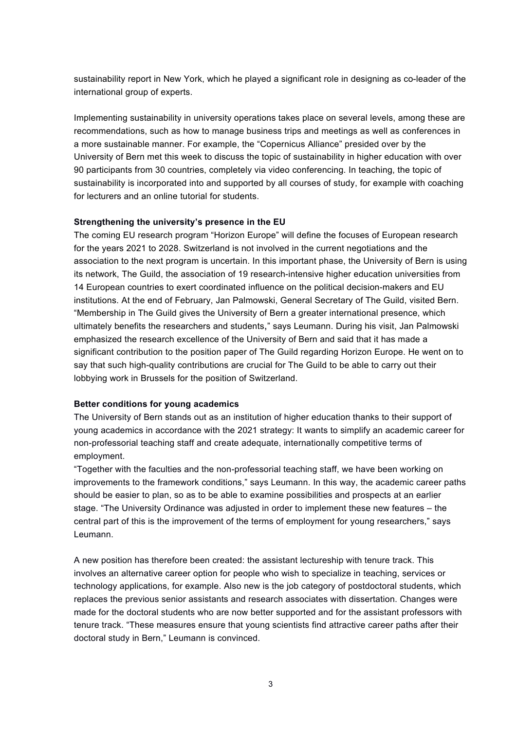sustainability report in New York, which he played a significant role in designing as co-leader of the international group of experts.

Implementing sustainability in university operations takes place on several levels, among these are recommendations, such as how to manage business trips and meetings as well as conferences in a more sustainable manner. For example, the "Copernicus Alliance" presided over by the University of Bern met this week to discuss the topic of sustainability in higher education with over 90 participants from 30 countries, completely via video conferencing. In teaching, the topic of sustainability is incorporated into and supported by all courses of study, for example with coaching for lecturers and an online tutorial for students.

## **Strengthening the university's presence in the EU**

The coming EU research program "Horizon Europe" will define the focuses of European research for the years 2021 to 2028. Switzerland is not involved in the current negotiations and the association to the next program is uncertain. In this important phase, the University of Bern is using its network, The Guild, the association of 19 research-intensive higher education universities from 14 European countries to exert coordinated influence on the political decision-makers and EU institutions. At the end of February, Jan Palmowski, General Secretary of The Guild, visited Bern. "Membership in The Guild gives the University of Bern a greater international presence, which ultimately benefits the researchers and students," says Leumann. During his visit, Jan Palmowski emphasized the research excellence of the University of Bern and said that it has made a significant contribution to the position paper of The Guild regarding Horizon Europe. He went on to say that such high-quality contributions are crucial for The Guild to be able to carry out their lobbying work in Brussels for the position of Switzerland.

## **Better conditions for young academics**

The University of Bern stands out as an institution of higher education thanks to their support of young academics in accordance with the 2021 strategy: It wants to simplify an academic career for non-professorial teaching staff and create adequate, internationally competitive terms of employment.

"Together with the faculties and the non-professorial teaching staff, we have been working on improvements to the framework conditions," says Leumann. In this way, the academic career paths should be easier to plan, so as to be able to examine possibilities and prospects at an earlier stage. "The University Ordinance was adjusted in order to implement these new features – the central part of this is the improvement of the terms of employment for young researchers," says Leumann.

A new position has therefore been created: the assistant lectureship with tenure track. This involves an alternative career option for people who wish to specialize in teaching, services or technology applications, for example. Also new is the job category of postdoctoral students, which replaces the previous senior assistants and research associates with dissertation. Changes were made for the doctoral students who are now better supported and for the assistant professors with tenure track. "These measures ensure that young scientists find attractive career paths after their doctoral study in Bern," Leumann is convinced.